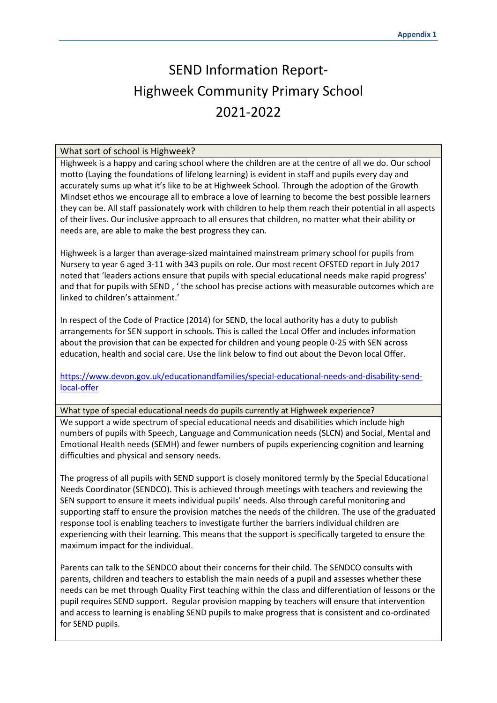## SEND Information Report-Highweek Community Primary School 2021-2022

## What sort of school is Highweek?

Highweek is a happy and caring school where the children are at the centre of all we do. Our school motto (Laying the foundations of lifelong learning) is evident in staff and pupils every day and accurately sums up what it's like to be at Highweek School. Through the adoption of the Growth Mindset ethos we encourage all to embrace a love of learning to become the best possible learners they can be. All staff passionately work with children to help them reach their potential in all aspects of their lives. Our inclusive approach to all ensures that children, no matter what their ability or needs are, are able to make the best progress they can.

Highweek is a larger than average-sized maintained mainstream primary school for pupils from Nursery to year 6 aged 3-11 with 343 pupils on role. Our most recent OFSTED report in July 2017 noted that 'leaders actions ensure that pupils with special educational needs make rapid progress' and that for pupils with SEND , ' the school has precise actions with measurable outcomes which are linked to children's attainment.'

In respect of the Code of Practice (2014) for SEND, the local authority has a duty to publish arrangements for SEN support in schools. This is called the Local Offer and includes information about the provision that can be expected for children and young people 0-25 with SEN across education, health and social care. Use the link below to find out about the Devon local Offer.

[https://www.devon.gov.uk/educationandfamilies/special-educational-needs-and-disability-send](https://www.devon.gov.uk/educationandfamilies/special-educational-needs-and-disability-send-local-offer)[local-offer](https://www.devon.gov.uk/educationandfamilies/special-educational-needs-and-disability-send-local-offer)

What type of special educational needs do pupils currently at Highweek experience? We support a wide spectrum of special educational needs and disabilities which include high numbers of pupils with Speech, Language and Communication needs (SLCN) and Social, Mental and Emotional Health needs (SEMH) and fewer numbers of pupils experiencing cognition and learning difficulties and physical and sensory needs.

The progress of all pupils with SEND support is closely monitored termly by the Special Educational Needs Coordinator (SENDCO). This is achieved through meetings with teachers and reviewing the SEN support to ensure it meets individual pupils' needs. Also through careful monitoring and supporting staff to ensure the provision matches the needs of the children. The use of the graduated response tool is enabling teachers to investigate further the barriers individual children are experiencing with their learning. This means that the support is specifically targeted to ensure the maximum impact for the individual.

Parents can talk to the SENDCO about their concerns for their child. The SENDCO consults with parents, children and teachers to establish the main needs of a pupil and assesses whether these needs can be met through Quality First teaching within the class and differentiation of lessons or the pupil requires SEND support. Regular provision mapping by teachers will ensure that intervention and access to learning is enabling SEND pupils to make progress that is consistent and co-ordinated for SEND pupils.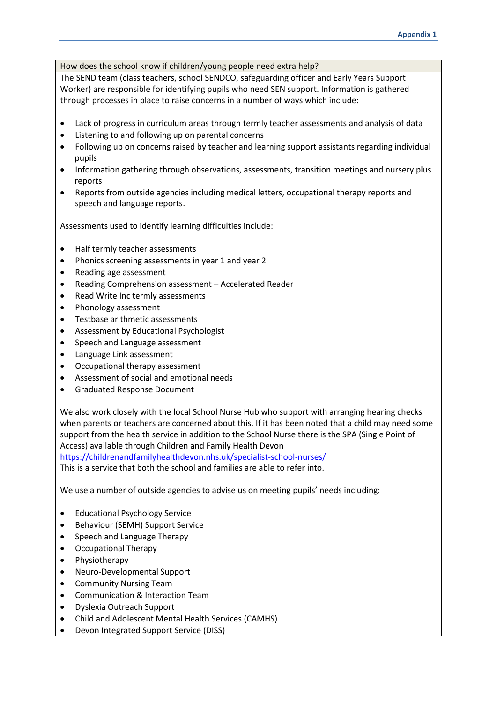How does the school know if children/young people need extra help?

The SEND team (class teachers, school SENDCO, safeguarding officer and Early Years Support Worker) are responsible for identifying pupils who need SEN support. Information is gathered through processes in place to raise concerns in a number of ways which include:

- Lack of progress in curriculum areas through termly teacher assessments and analysis of data
- Listening to and following up on parental concerns
- Following up on concerns raised by teacher and learning support assistants regarding individual pupils
- Information gathering through observations, assessments, transition meetings and nursery plus reports
- Reports from outside agencies including medical letters, occupational therapy reports and speech and language reports.

Assessments used to identify learning difficulties include:

- Half termly teacher assessments
- Phonics screening assessments in year 1 and year 2
- Reading age assessment
- Reading Comprehension assessment Accelerated Reader
- Read Write Inc termly assessments
- Phonology assessment
- Testbase arithmetic assessments
- Assessment by Educational Psychologist
- Speech and Language assessment
- Language Link assessment
- Occupational therapy assessment
- Assessment of social and emotional needs
- Graduated Response Document

We also work closely with the local School Nurse Hub who support with arranging hearing checks when parents or teachers are concerned about this. If it has been noted that a child may need some support from the health service in addition to the School Nurse there is the SPA (Single Point of Access) available through Children and Family Health Devon

<https://childrenandfamilyhealthdevon.nhs.uk/specialist-school-nurses/> This is a service that both the school and families are able to refer into.

We use a number of outside agencies to advise us on meeting pupils' needs including:

- Educational Psychology Service
- Behaviour (SEMH) Support Service
- Speech and Language Therapy
- Occupational Therapy
- Physiotherapy
- Neuro-Developmental Support
- Community Nursing Team
- Communication & Interaction Team
- Dyslexia Outreach Support
- Child and Adolescent Mental Health Services (CAMHS)
- Devon Integrated Support Service (DISS)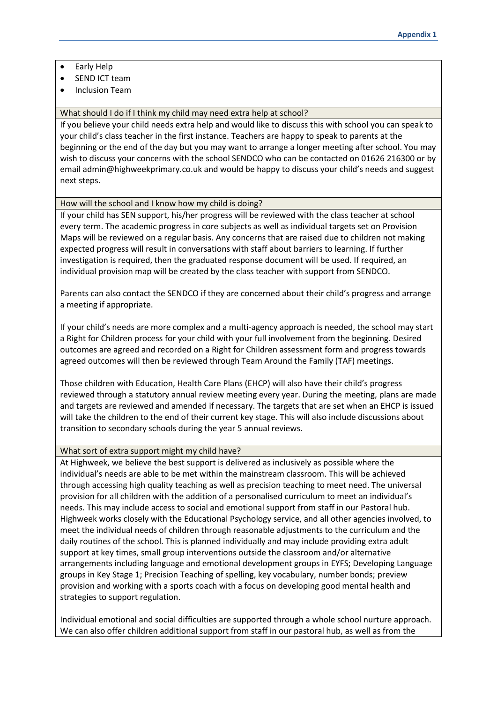- Early Help
- SEND ICT team
- Inclusion Team

What should I do if I think my child may need extra help at school?

If you believe your child needs extra help and would like to discuss this with school you can speak to your child's class teacher in the first instance. Teachers are happy to speak to parents at the beginning or the end of the day but you may want to arrange a longer meeting after school. You may wish to discuss your concerns with the school SENDCO who can be contacted on 01626 216300 or by email admin@highweekprimary.co.uk and would be happy to discuss your child's needs and suggest next steps.

How will the school and I know how my child is doing?

If your child has SEN support, his/her progress will be reviewed with the class teacher at school every term. The academic progress in core subjects as well as individual targets set on Provision Maps will be reviewed on a regular basis. Any concerns that are raised due to children not making expected progress will result in conversations with staff about barriers to learning. If further investigation is required, then the graduated response document will be used. If required, an individual provision map will be created by the class teacher with support from SENDCO.

Parents can also contact the SENDCO if they are concerned about their child's progress and arrange a meeting if appropriate.

If your child's needs are more complex and a multi-agency approach is needed, the school may start a Right for Children process for your child with your full involvement from the beginning. Desired outcomes are agreed and recorded on a Right for Children assessment form and progress towards agreed outcomes will then be reviewed through Team Around the Family (TAF) meetings.

Those children with Education, Health Care Plans (EHCP) will also have their child's progress reviewed through a statutory annual review meeting every year. During the meeting, plans are made and targets are reviewed and amended if necessary. The targets that are set when an EHCP is issued will take the children to the end of their current key stage. This will also include discussions about transition to secondary schools during the year 5 annual reviews.

## What sort of extra support might my child have?

At Highweek, we believe the best support is delivered as inclusively as possible where the individual's needs are able to be met within the mainstream classroom. This will be achieved through accessing high quality teaching as well as precision teaching to meet need. The universal provision for all children with the addition of a personalised curriculum to meet an individual's needs. This may include access to social and emotional support from staff in our Pastoral hub. Highweek works closely with the Educational Psychology service, and all other agencies involved, to meet the individual needs of children through reasonable adjustments to the curriculum and the daily routines of the school. This is planned individually and may include providing extra adult support at key times, small group interventions outside the classroom and/or alternative arrangements including language and emotional development groups in EYFS; Developing Language groups in Key Stage 1; Precision Teaching of spelling, key vocabulary, number bonds; preview provision and working with a sports coach with a focus on developing good mental health and strategies to support regulation.

Individual emotional and social difficulties are supported through a whole school nurture approach. We can also offer children additional support from staff in our pastoral hub, as well as from the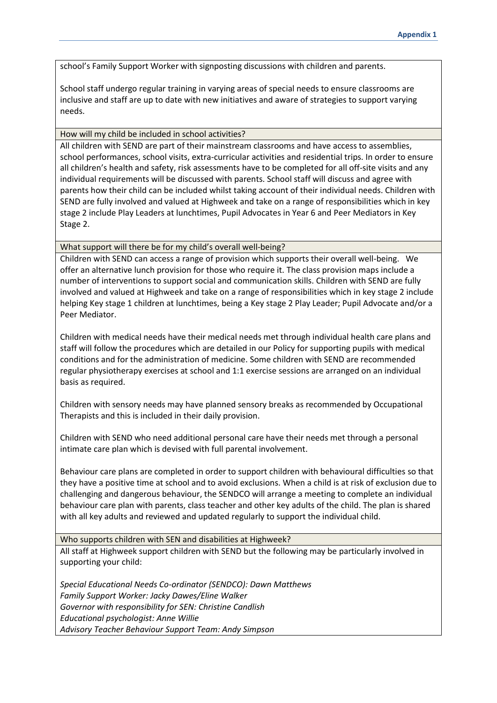school's Family Support Worker with signposting discussions with children and parents.

School staff undergo regular training in varying areas of special needs to ensure classrooms are inclusive and staff are up to date with new initiatives and aware of strategies to support varying needs.

## How will my child be included in school activities?

All children with SEND are part of their mainstream classrooms and have access to assemblies, school performances, school visits, extra-curricular activities and residential trips. In order to ensure all children's health and safety, risk assessments have to be completed for all off-site visits and any individual requirements will be discussed with parents. School staff will discuss and agree with parents how their child can be included whilst taking account of their individual needs. Children with SEND are fully involved and valued at Highweek and take on a range of responsibilities which in key stage 2 include Play Leaders at lunchtimes, Pupil Advocates in Year 6 and Peer Mediators in Key Stage 2.

What support will there be for my child's overall well-being?

Children with SEND can access a range of provision which supports their overall well-being. We offer an alternative lunch provision for those who require it. The class provision maps include a number of interventions to support social and communication skills. Children with SEND are fully involved and valued at Highweek and take on a range of responsibilities which in key stage 2 include helping Key stage 1 children at lunchtimes, being a Key stage 2 Play Leader; Pupil Advocate and/or a Peer Mediator.

Children with medical needs have their medical needs met through individual health care plans and staff will follow the procedures which are detailed in our Policy for supporting pupils with medical conditions and for the administration of medicine. Some children with SEND are recommended regular physiotherapy exercises at school and 1:1 exercise sessions are arranged on an individual basis as required.

Children with sensory needs may have planned sensory breaks as recommended by Occupational Therapists and this is included in their daily provision.

Children with SEND who need additional personal care have their needs met through a personal intimate care plan which is devised with full parental involvement.

Behaviour care plans are completed in order to support children with behavioural difficulties so that they have a positive time at school and to avoid exclusions. When a child is at risk of exclusion due to challenging and dangerous behaviour, the SENDCO will arrange a meeting to complete an individual behaviour care plan with parents, class teacher and other key adults of the child. The plan is shared with all key adults and reviewed and updated regularly to support the individual child.

Who supports children with SEN and disabilities at Highweek?

All staff at Highweek support children with SEND but the following may be particularly involved in supporting your child:

*Special Educational Needs Co-ordinator (SENDCO): Dawn Matthews Family Support Worker: Jacky Dawes/Eline Walker Governor with responsibility for SEN: Christine Candlish Educational psychologist: Anne Willie Advisory Teacher Behaviour Support Team: Andy Simpson*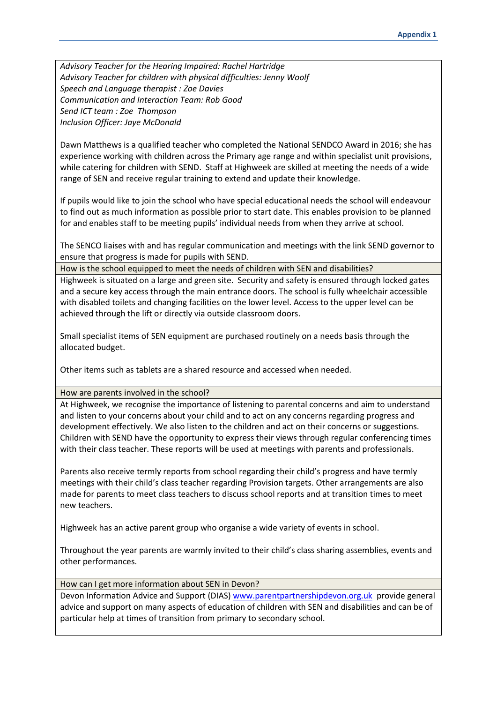*Advisory Teacher for the Hearing Impaired: Rachel Hartridge Advisory Teacher for children with physical difficulties: Jenny Woolf Speech and Language therapist : Zoe Davies Communication and Interaction Team: Rob Good Send ICT team : Zoe Thompson Inclusion Officer: Jaye McDonald*

Dawn Matthews is a qualified teacher who completed the National SENDCO Award in 2016; she has experience working with children across the Primary age range and within specialist unit provisions, while catering for children with SEND. Staff at Highweek are skilled at meeting the needs of a wide range of SEN and receive regular training to extend and update their knowledge.

If pupils would like to join the school who have special educational needs the school will endeavour to find out as much information as possible prior to start date. This enables provision to be planned for and enables staff to be meeting pupils' individual needs from when they arrive at school.

The SENCO liaises with and has regular communication and meetings with the link SEND governor to ensure that progress is made for pupils with SEND.

How is the school equipped to meet the needs of children with SEN and disabilities?

Highweek is situated on a large and green site. Security and safety is ensured through locked gates and a secure key access through the main entrance doors. The school is fully wheelchair accessible with disabled toilets and changing facilities on the lower level. Access to the upper level can be achieved through the lift or directly via outside classroom doors.

Small specialist items of SEN equipment are purchased routinely on a needs basis through the allocated budget.

Other items such as tablets are a shared resource and accessed when needed.

How are parents involved in the school?

At Highweek, we recognise the importance of listening to parental concerns and aim to understand and listen to your concerns about your child and to act on any concerns regarding progress and development effectively. We also listen to the children and act on their concerns or suggestions. Children with SEND have the opportunity to express their views through regular conferencing times with their class teacher. These reports will be used at meetings with parents and professionals.

Parents also receive termly reports from school regarding their child's progress and have termly meetings with their child's class teacher regarding Provision targets. Other arrangements are also made for parents to meet class teachers to discuss school reports and at transition times to meet new teachers.

Highweek has an active parent group who organise a wide variety of events in school.

Throughout the year parents are warmly invited to their child's class sharing assemblies, events and other performances.

How can I get more information about SEN in Devon?

Devon Information Advice and Support (DIAS) [www.parentpartnershipdevon.org.uk](http://www.parentpartnershipdevon.org.uk/) provide general advice and support on many aspects of education of children with SEN and disabilities and can be of particular help at times of transition from primary to secondary school.